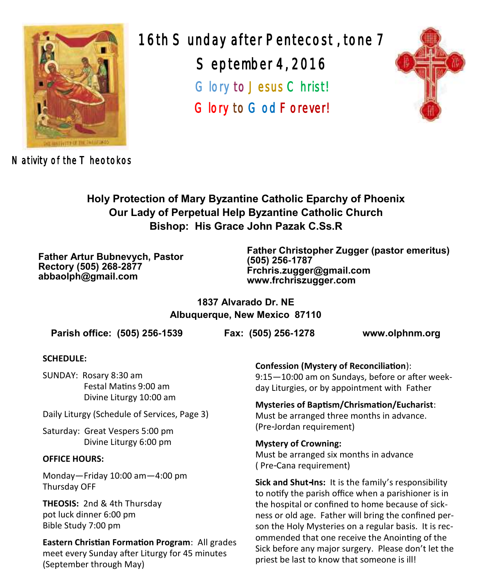

16th Sunday after Pentecost , tone 7 September 4, 2016 Glory to Jesus Christ! Glory to God Forever!



Nativity of the T heotokos

**Holy Protection of Mary Byzantine Catholic Eparchy of Phoenix Our Lady of Perpetual Help Byzantine Catholic Church Bishop: His Grace John Pazak C.Ss.R**

**Father Artur Bubnevych, Pastor Rectory (505) 268-2877 abbaolph@gmail.com**

**Father Christopher Zugger (pastor emeritus) (505) 256-1787 Frchris.zugger@gmail.com www.frchriszugger.com** 

**1837 Alvarado Dr. NE Albuquerque, New Mexico 87110**

**Parish office: (505) 256-1539 Fax: (505) 256-1278 www.olphnm.org**

### **SCHEDULE:**

SUNDAY: Rosary 8:30 am Festal Matins 9:00 am Divine Liturgy 10:00 am

Daily Liturgy (Schedule of Services, Page 3)

Saturday: Great Vespers 5:00 pm Divine Liturgy 6:00 pm

### **OFFICE HOURS:**

Monday—Friday 10:00 am—4:00 pm Thursday OFF

**THEOSIS:** 2nd & 4th Thursday pot luck dinner 6:00 pm Bible Study 7:00 pm

**Eastern Christian Formation Program**: All grades meet every Sunday after Liturgy for 45 minutes (September through May)

**Confession (Mystery of Reconciliation**): 9:15—10:00 am on Sundays, before or after weekday Liturgies, or by appointment with Father

**Mysteries of Baptism/Chrismation/Eucharist**: Must be arranged three months in advance. (Pre-Jordan requirement)

**Mystery of Crowning:**  Must be arranged six months in advance

( Pre-Cana requirement)

**Sick and Shut-Ins:** It is the family's responsibility to notify the parish office when a parishioner is in the hospital or confined to home because of sickness or old age. Father will bring the confined person the Holy Mysteries on a regular basis. It is recommended that one receive the Anointing of the Sick before any major surgery. Please don't let the priest be last to know that someone is ill!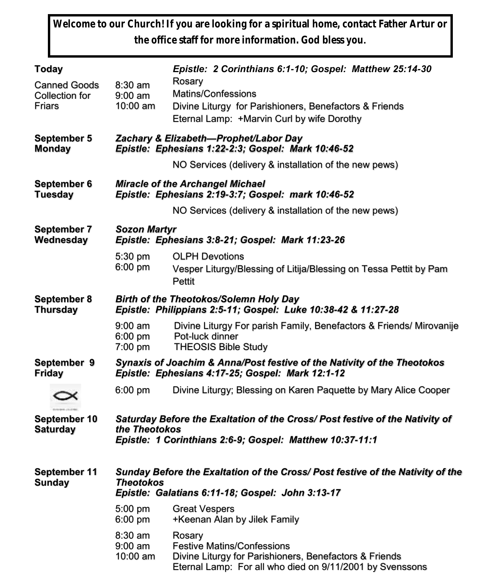**Welcome to our Church! If you are looking for a spiritual home, contact Father Artur or the office staff for more information. God bless you.**

| Today                                                  |                                                                                                                                                           | Epistle: 2 Corinthians 6:1-10; Gospel: Matthew 25:14-30                                                                                                           |  |  |
|--------------------------------------------------------|-----------------------------------------------------------------------------------------------------------------------------------------------------------|-------------------------------------------------------------------------------------------------------------------------------------------------------------------|--|--|
| <b>Canned Goods</b><br><b>Collection for</b><br>Friars | 8:30 am<br>$9:00$ am<br>10:00 am                                                                                                                          | Rosary<br><b>Matins/Confessions</b><br>Divine Liturgy for Parishioners, Benefactors & Friends<br>Eternal Lamp: +Marvin Curl by wife Dorothy                       |  |  |
| September 5<br><b>Monday</b>                           | Zachary & Elizabeth-Prophet/Labor Day<br>Epistle: Ephesians 1:22-2:3; Gospel: Mark 10:46-52                                                               |                                                                                                                                                                   |  |  |
|                                                        |                                                                                                                                                           | NO Services (delivery & installation of the new pews)                                                                                                             |  |  |
| September 6<br><b>Tuesday</b>                          | <b>Miracle of the Archangel Michael</b><br>Epistle: Ephesians 2:19-3:7; Gospel: mark 10:46-52                                                             |                                                                                                                                                                   |  |  |
|                                                        |                                                                                                                                                           | NO Services (delivery & installation of the new pews)                                                                                                             |  |  |
| <b>September 7</b><br>Wednesday                        | <b>Sozon Martyr</b><br>Epistle: Ephesians 3:8-21; Gospel: Mark 11:23-26                                                                                   |                                                                                                                                                                   |  |  |
|                                                        | 5:30 pm<br>6:00 pm                                                                                                                                        | <b>OLPH Devotions</b><br>Vesper Liturgy/Blessing of Litija/Blessing on Tessa Pettit by Pam<br>Pettit                                                              |  |  |
| <b>September 8</b><br><b>Thursday</b>                  | <b>Birth of the Theotokos/Solemn Holy Day</b><br>Epistle: Philippians 2:5-11; Gospel: Luke 10:38-42 & 11:27-28                                            |                                                                                                                                                                   |  |  |
|                                                        | $9:00$ am<br>6:00 pm<br>7:00 pm                                                                                                                           | Divine Liturgy For parish Family, Benefactors & Friends/ Mirovanije<br>Pot-luck dinner<br><b>THEOSIS Bible Study</b>                                              |  |  |
| September 9<br><b>Friday</b>                           | Synaxis of Joachim & Anna/Post festive of the Nativity of the Theotokos<br>Epistle: Ephesians 4:17-25; Gospel: Mark 12:1-12                               |                                                                                                                                                                   |  |  |
|                                                        | 6:00 pm                                                                                                                                                   | Divine Liturgy; Blessing on Karen Paquette by Mary Alice Cooper                                                                                                   |  |  |
| September 10<br><b>Saturday</b>                        | Saturday Before the Exaltation of the Cross/ Post festive of the Nativity of<br>the Theotokos<br>Epistle: 1 Corinthians 2:6-9; Gospel: Matthew 10:37-11:1 |                                                                                                                                                                   |  |  |
| September 11<br><b>Sunday</b>                          | Sunday Before the Exaltation of the Cross/ Post festive of the Nativity of the<br>Theotokos<br>Epistle: Galatians 6:11-18; Gospel: John 3:13-17           |                                                                                                                                                                   |  |  |
|                                                        | 5:00 pm<br>6:00 pm                                                                                                                                        | <b>Great Vespers</b><br>+Keenan Alan by Jilek Family                                                                                                              |  |  |
|                                                        | 8:30 am<br>$9:00$ am<br>10:00 am                                                                                                                          | Rosary<br><b>Festive Matins/Confessions</b><br>Divine Liturgy for Parishioners, Benefactors & Friends<br>Eternal Lamp: For all who died on 9/11/2001 by Svenssons |  |  |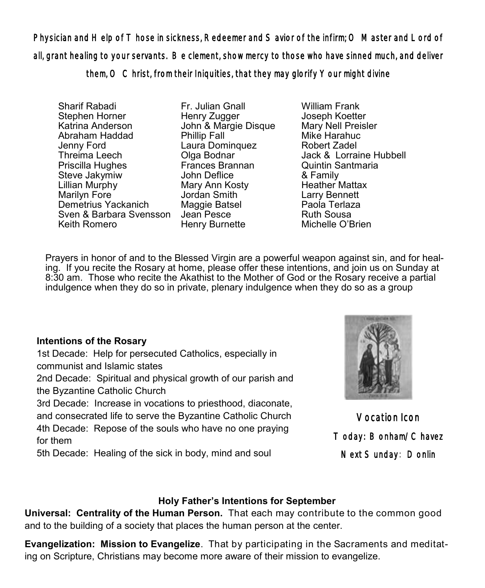Physician and Help of Those in sickness, Redeemer and Savior of the infirm; O Master and Lord of all, grant healing to your servants. Be clement, show mercy to those who have sinned much, and deliver them, O Christ, from their Iniquities, that they may glorify Your might divine

Sharif Rabadi Stephen Horner Katrina Anderson Abraham Haddad Jenny Ford Threima Leech Priscilla Hughes Steve Jakymiw Lillian Murphy Marilyn Fore Demetrius Yackanich Sven & Barbara Svensson Jean Pesce Keith Romero

Fr. Julian Gnall Henry Zugger John & Margie Disque Phillip Fall Laura Dominquez Olga Bodnar Frances Brannan John Deflice Mary Ann Kosty Jordan Smith Maggie Batsel Henry Burnette

William Frank Joseph Koetter Mary Nell Preisler Mike Harahuc Robert Zadel Jack & Lorraine Hubbell Quintin Santmaria & Family Heather Mattax Larry Bennett Paola Terlaza Ruth Sousa Michelle O'Brien

Prayers in honor of and to the Blessed Virgin are a powerful weapon against sin, and for healing. If you recite the Rosary at home, please offer these intentions, and join us on Sunday at 8:30 am. Those who recite the Akathist to the Mother of God or the Rosary receive a partial indulgence when they do so in private, plenary indulgence when they do so as a group

## **Intentions of the Rosary**

1st Decade: Help for persecuted Catholics, especially in communist and Islamic states 2nd Decade: Spiritual and physical growth of our parish and the Byzantine Catholic Church 3rd Decade: Increase in vocations to priesthood, diaconate,

and consecrated life to serve the Byzantine Catholic Church 4th Decade: Repose of the souls who have no one praying for them

5th Decade: Healing of the sick in body, mind and soul



Vocation Icon Today: Bonham/Chavez Next Sunday: Donlin

## **Holy Father's Intentions for September**

**Universal: Centrality of the Human Person.** That each may contribute to the common good and to the building of a society that places the human person at the center.

**Evangelization: Mission to Evangelize**. That by participating in the Sacraments and meditating on Scripture, Christians may become more aware of their mission to evangelize.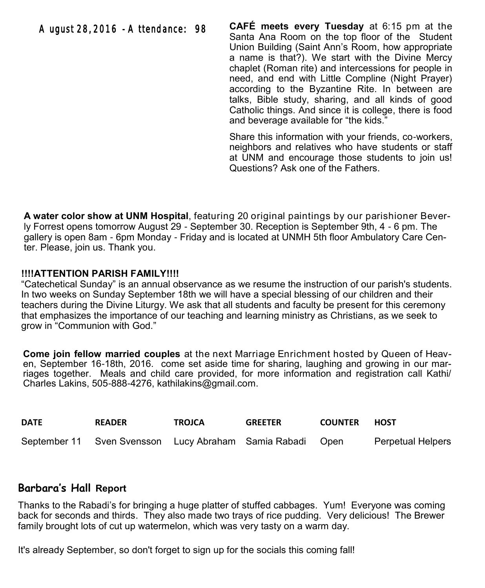**CAFÉ meets every Tuesday** at 6:15 pm at the Santa Ana Room on the top floor of the Student Union Building (Saint Ann's Room, how appropriate a name is that?). We start with the Divine Mercy chaplet (Roman rite) and intercessions for people in need, and end with Little Compline (Night Prayer) according to the Byzantine Rite. In between are talks, Bible study, sharing, and all kinds of good Catholic things. And since it is college, there is food and beverage available for "the kids."

Share this information with your friends, co-workers, neighbors and relatives who have students or staff at UNM and encourage those students to join us! Questions? Ask one of the Fathers.

**A water color show at UNM Hospital**, featuring 20 original paintings by our parishioner Beverly Forrest opens tomorrow August 29 - September 30. Reception is September 9th, 4 - 6 pm. The gallery is open 8am - 6pm Monday - Friday and is located at UNMH 5th floor Ambulatory Care Center. Please, join us. Thank you.

### **!!!!ATTENTION PARISH FAMILY!!!!**

"Catechetical Sunday" is an annual observance as we resume the instruction of our parish's students. In two weeks on Sunday September 18th we will have a special blessing of our children and their teachers during the Divine Liturgy. We ask that all students and faculty be present for this ceremony that emphasizes the importance of our teaching and learning ministry as Christians, as we seek to grow in "Communion with God."

**Come join fellow married couples** at the next Marriage Enrichment hosted by Queen of Heaven, September 16-18th, 2016. come set aside time for sharing, laughing and growing in our marriages together. Meals and child care provided, for more information and registration call Kathi/ Charles Lakins, 505-888-4276, kathilakins@gmail.com.

| <b>DATE</b> | <b>READER</b>                                             | <b>TROJCA</b> | <b>GREETER</b> | <b>COUNTER</b> | HOST                     |
|-------------|-----------------------------------------------------------|---------------|----------------|----------------|--------------------------|
|             | September 11 Sven Svensson Lucy Abraham Samia Rabadi Open |               |                |                | <b>Perpetual Helpers</b> |

## **Barbara's Hall Report**

Thanks to the Rabadi's for bringing a huge platter of stuffed cabbages. Yum! Everyone was coming back for seconds and thirds. They also made two trays of rice pudding. Very delicious! The Brewer family brought lots of cut up watermelon, which was very tasty on a warm day.

It's already September, so don't forget to sign up for the socials this coming fall!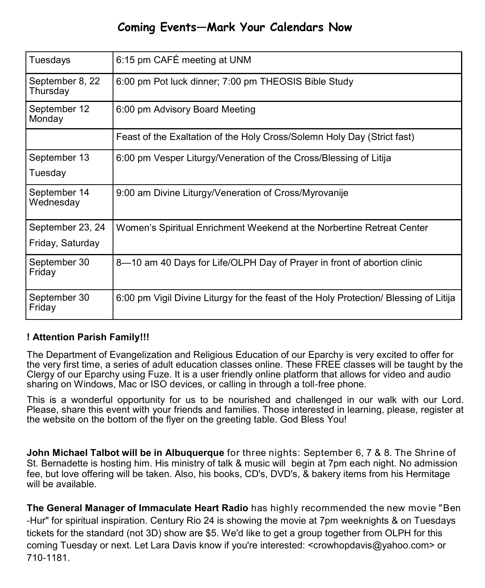## **Coming Events—Mark Your Calendars Now**

| Tuesdays                             | 6:15 pm CAFÉ meeting at UNM                                                           |  |
|--------------------------------------|---------------------------------------------------------------------------------------|--|
| September 8, 22<br>Thursday          | 6:00 pm Pot luck dinner; 7:00 pm THEOSIS Bible Study                                  |  |
| September 12<br>Monday               | 6:00 pm Advisory Board Meeting                                                        |  |
|                                      | Feast of the Exaltation of the Holy Cross/Solemn Holy Day (Strict fast)               |  |
| September 13<br>Tuesday              | 6:00 pm Vesper Liturgy/Veneration of the Cross/Blessing of Litija                     |  |
| September 14<br>Wednesday            | 9:00 am Divine Liturgy/Veneration of Cross/Myrovanije                                 |  |
| September 23, 24<br>Friday, Saturday | Women's Spiritual Enrichment Weekend at the Norbertine Retreat Center                 |  |
| September 30<br>Friday               | 8-10 am 40 Days for Life/OLPH Day of Prayer in front of abortion clinic               |  |
| September 30<br>Friday               | 6:00 pm Vigil Divine Liturgy for the feast of the Holy Protection/ Blessing of Litija |  |

## **! Attention Parish Family!!!**

The Department of Evangelization and Religious Education of our Eparchy is very excited to offer for the very first time, a series of adult education classes online. These FREE classes will be taught by the Clergy of our Eparchy using Fuze. It is a user friendly online platform that allows for video and audio sharing on Windows, Mac or ISO devices, or calling in through a toll-free phone.

This is a wonderful opportunity for us to be nourished and challenged in our walk with our Lord. Please, share this event with your friends and families. Those interested in learning, please, register at the website on the bottom of the flyer on the greeting table. God Bless You!

**John Michael Talbot will be in Albuquerque** for three nights: September 6, 7 & 8. The Shrine of St. Bernadette is hosting him. His ministry of talk & music will begin at 7pm each night. No admission fee, but love offering will be taken. Also, his books, CD's, DVD's, & bakery items from his Hermitage will be available.

**The General Manager of Immaculate Heart Radio** has highly recommended the new movie "Ben -Hur" for spiritual inspiration. Century Rio 24 is showing the movie at 7pm weeknights & on Tuesdays tickets for the standard (not 3D) show are \$5. We'd like to get a group together from OLPH for this coming Tuesday or next. Let Lara Davis know if you're interested: <[crowhopdavis@yahoo.com>](mailto:crowhopdavis@yahoo.com) or 710-1181.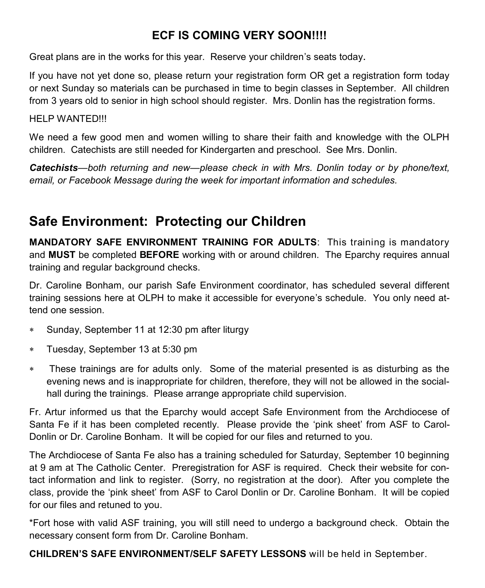## **ECF IS COMING VERY SOON!!!!**

Great plans are in the works for this year. Reserve your children's seats today.

If you have not yet done so, please return your registration form OR get a registration form today or next Sunday so materials can be purchased in time to begin classes in September. All children from 3 years old to senior in high school should register. Mrs. Donlin has the registration forms.

### HELP WANTED!!!

We need a few good men and women willing to share their faith and knowledge with the OLPH children. Catechists are still needed for Kindergarten and preschool. See Mrs. Donlin.

*Catechists*—*both returning and new—please check in with Mrs. Donlin today or by phone/text, email, or Facebook Message during the week for important information and schedules.*

## **Safe Environment: Protecting our Children**

**MANDATORY SAFE ENVIRONMENT TRAINING FOR ADULTS**: This training is mandatory and **MUST** be completed **BEFORE** working with or around children. The Eparchy requires annual training and regular background checks.

Dr. Caroline Bonham, our parish Safe Environment coordinator, has scheduled several different training sessions here at OLPH to make it accessible for everyone's schedule. You only need attend one session.

- Sunday, September 11 at 12:30 pm after liturgy
- Tuesday, September 13 at 5:30 pm
- These trainings are for adults only. Some of the material presented is as disturbing as the evening news and is inappropriate for children, therefore, they will not be allowed in the socialhall during the trainings. Please arrange appropriate child supervision.

Fr. Artur informed us that the Eparchy would accept Safe Environment from the Archdiocese of Santa Fe if it has been completed recently. Please provide the 'pink sheet' from ASF to Carol-Donlin or Dr. Caroline Bonham. It will be copied for our files and returned to you.

The Archdiocese of Santa Fe also has a training scheduled for Saturday, September 10 beginning at 9 am at The Catholic Center. Preregistration for ASF is required. Check their website for contact information and link to register. (Sorry, no registration at the door). After you complete the class, provide the 'pink sheet' from ASF to Carol Donlin or Dr. Caroline Bonham. It will be copied for our files and retuned to you.

\*Fort hose with valid ASF training, you will still need to undergo a background check. Obtain the necessary consent form from Dr. Caroline Bonham.

**CHILDREN'S SAFE ENVIRONMENT/SELF SAFETY LESSONS** will be held in September.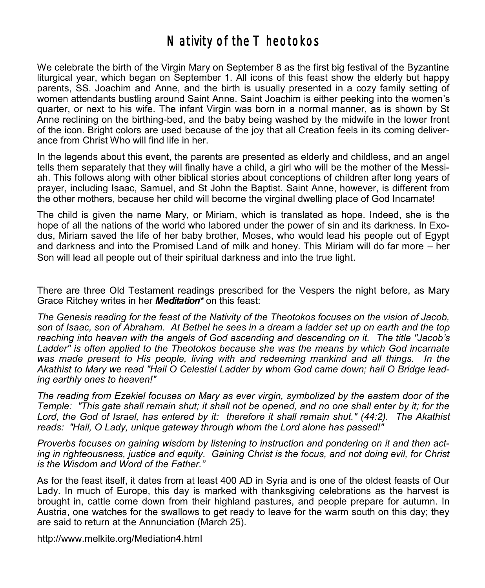## Nativity of the  $T$  heotokos

We celebrate the birth of the Virgin Mary on September 8 as the first big festival of the Byzantine liturgical year, which began on September 1. All icons of this feast show the elderly but happy parents, SS. Joachim and Anne, and the birth is usually presented in a cozy family setting of women attendants bustling around Saint Anne. Saint Joachim is either peeking into the women's quarter, or next to his wife. The infant Virgin was born in a normal manner, as is shown by St Anne reclining on the birthing-bed, and the baby being washed by the midwife in the lower front of the icon. Bright colors are used because of the joy that all Creation feels in its coming deliverance from Christ Who will find life in her.

In the legends about this event, the parents are presented as elderly and childless, and an angel tells them separately that they will finally have a child, a girl who will be the mother of the Messiah. This follows along with other biblical stories about conceptions of children after long years of prayer, including Isaac, Samuel, and St John the Baptist. Saint Anne, however, is different from the other mothers, because her child will become the virginal dwelling place of God Incarnate!

The child is given the name Mary, or Miriam, which is translated as hope. Indeed, she is the hope of all the nations of the world who labored under the power of sin and its darkness. In Exodus, Miriam saved the life of her baby brother, Moses, who would lead his people out of Egypt and darkness and into the Promised Land of milk and honey. This Miriam will do far more – her Son will lead all people out of their spiritual darkness and into the true light.

There are three Old Testament readings prescribed for the Vespers the night before, as Mary Grace Ritchey writes in her *Meditation\** on this feast:

*The Genesis reading for the feast of the Nativity of the Theotokos focuses on the vision of Jacob, son of Isaac, son of Abraham. At Bethel he sees in a dream a ladder set up on earth and the top reaching into heaven with the angels of God ascending and descending on it. The title "Jacob's Ladder" is often applied to the Theotokos because she was the means by which God incarnate was made present to His people, living with and redeeming mankind and all things. In the Akathist to Mary we read "Hail O Celestial Ladder by whom God came down; hail O Bridge leading earthly ones to heaven!"*

*The reading from Ezekiel focuses on Mary as ever virgin, symbolized by the eastern door of the Temple: "This gate shall remain shut; it shall not be opened, and no one shall enter by it; for the Lord, the God of Israel, has entered by it: therefore it shall remain shut." (44:2). The Akathist reads: "Hail, O Lady, unique gateway through whom the Lord alone has passed!"* 

*Proverbs focuses on gaining wisdom by listening to instruction and pondering on it and then acting in righteousness, justice and equity. Gaining Christ is the focus, and not doing evil, for Christ is the Wisdom and Word of the Father."*

As for the feast itself, it dates from at least 400 AD in Syria and is one of the oldest feasts of Our Lady. In much of Europe, this day is marked with thanksgiving celebrations as the harvest is brought in, cattle come down from their highland pastures, and people prepare for autumn. In Austria, one watches for the swallows to get ready to leave for the warm south on this day; they are said to return at the Annunciation (March 25).

<http://www.melkite.org/Mediation4.html>